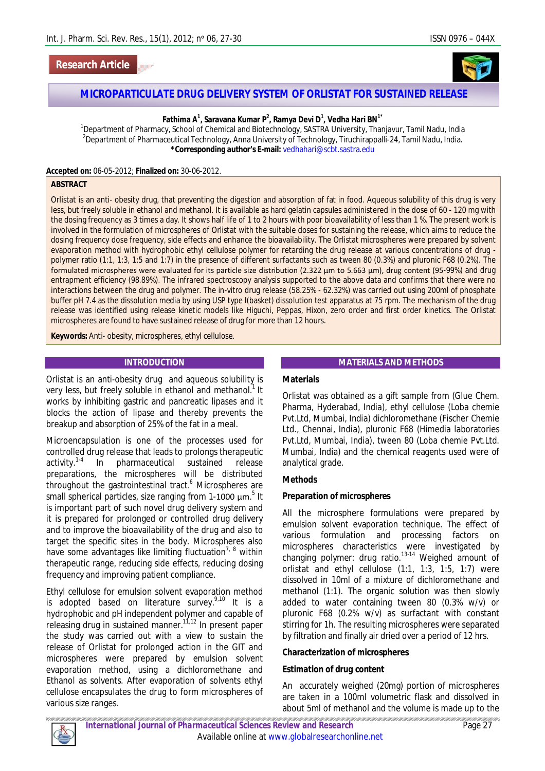# **Research Article**



# **MICROPARTICULATE DRUG DELIVERY SYSTEM OF ORLISTAT FOR SUSTAINED RELEASE**

### **Fathima A<sup>1</sup> , Saravana Kumar P<sup>2</sup> , Ramya Devi D<sup>1</sup> , Vedha Hari BN1\***

<sup>1</sup>Department of Pharmacy, School of Chemical and Biotechnology, SASTRA University, Thanjavur, Tamil Nadu, India  $^2$ Department of Pharmaceutical Technology, Anna University of Technology, Tiruchirappalli-24, Tamil Nadu, India. **\*Corresponding author's E-mail:** vedhahari@scbt.sastra.edu

**Accepted on:** 06-05-2012; **Finalized on:** 30-06-2012.

#### **ABSTRACT**

Orlistat is an anti- obesity drug, that preventing the digestion and absorption of fat in food. Aqueous solubility of this drug is very less, but freely soluble in ethanol and methanol. It is available as hard gelatin capsules administered in the dose of 60 - 120 mg with the dosing frequency as 3 times a day. It shows half life of 1 to 2 hours with poor bioavailability of less than 1 %. The present work is involved in the formulation of microspheres of Orlistat with the suitable doses for sustaining the release, which aims to reduce the dosing frequency dose frequency, side effects and enhance the bioavailability. The Orlistat microspheres were prepared by solvent evaporation method with hydrophobic ethyl cellulose polymer for retarding the drug release at various concentrations of drug polymer ratio (1:1, 1:3, 1:5 and 1:7) in the presence of different surfactants such as tween 80 (0.3%) and pluronic F68 (0.2%). The formulated microspheres were evaluated for its particle size distribution (2.322 µm to 5.663 µm), drug content (95-99%) and drug entrapment efficiency (98.89%). The infrared spectroscopy analysis supported to the above data and confirms that there were no interactions between the drug and polymer. The *in-vitro* drug release (58.25% - 62.32%) was carried out using 200ml of phosphate buffer pH 7.4 as the dissolution media by using USP type I(basket) dissolution test apparatus at 75 rpm. The mechanism of the drug release was identified using release kinetic models like Higuchi, Peppas, Hixon, zero order and first order kinetics. The Orlistat microspheres are found to have sustained release of drug for more than 12 hours.

**Keywords:** Anti- obesity, microspheres, ethyl cellulose.

#### **INTRODUCTION**

Orlistat is an anti-obesity drug and aqueous solubility is very less, but freely soluble in ethanol and methanol.<sup>1</sup> It works by inhibiting gastric and pancreatic lipases and it blocks the action of lipase and thereby prevents the breakup and absorption of 25% of the fat in a meal.

Microencapsulation is one of the processes used for controlled drug release that leads to prolongs therapeutic activity.<sup>1-4</sup> In pharmaceutical sustained release preparations, the microspheres will be distributed throughout the gastrointestinal tract.<sup>6</sup> Microspheres are small spherical particles, size ranging from 1-1000  $\mu$ m.<sup>5</sup> It is important part of such novel drug delivery system and it is prepared for prolonged or controlled drug delivery and to improve the bioavailability of the drug and also to target the specific sites in the body. Microspheres also have some advantages like limiting fluctuation<sup>7, 8</sup> within therapeutic range, reducing side effects, reducing dosing frequency and improving patient compliance.

Ethyl cellulose for emulsion solvent evaporation method is adopted based on literature survey. $9,10$  It is a hydrophobic and pH independent polymer and capable of releasing drug in sustained manner.<sup>11,12</sup> In present paper the study was carried out with a view to sustain the release of Orlistat for prolonged action in the GIT and microspheres were prepared by emulsion solvent evaporation method, using a dichloromethane and Ethanol as solvents. After evaporation of solvents ethyl cellulose encapsulates the drug to form microspheres of various size ranges.

#### **MATERIALS AND METHODS**

# **Materials**

Orlistat was obtained as a gift sample from (Glue Chem. Pharma, Hyderabad, India), ethyl cellulose (Loba chemie Pvt.Ltd, Mumbai, India) dichloromethane (Fischer Chemie Ltd., Chennai, India), pluronic F68 (Himedia laboratories Pvt.Ltd, Mumbai, India), tween 80 (Loba chemie Pvt.Ltd. Mumbai, India) and the chemical reagents used were of analytical grade.

### **Methods**

#### *Preparation of microspheres*

All the microsphere formulations were prepared by emulsion solvent evaporation technique. The effect of various formulation and processing factors on microspheres characteristics were investigated by changing polymer: drug ratio.13-14 Weighed amount of orlistat and ethyl cellulose (1:1, 1:3, 1:5, 1:7) were dissolved in 10ml of a mixture of dichloromethane and methanol (1:1). The organic solution was then slowly added to water containing tween 80 (0.3% w/v) or pluronic F68 (0.2% w/v) as surfactant with constant stirring for 1h. The resulting microspheres were separated by filtration and finally air dried over a period of 12 hrs.

#### **Characterization of microspheres**

#### *Estimation of drug content*

An accurately weighed (20mg) portion of microspheres are taken in a 100ml volumetric flask and dissolved in about 5ml of methanol and the volume is made up to the

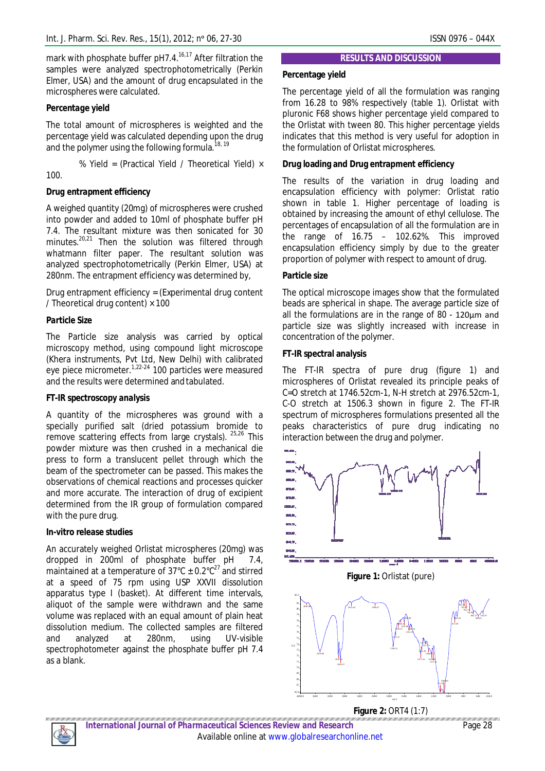mark with phosphate buffer  $pH7.4$ <sup>16,17</sup> After filtration the samples were analyzed spectrophotometrically (Perkin Elmer, USA) and the amount of drug encapsulated in the microspheres were calculated.

# *Percentage yield*

The total amount of microspheres is weighted and the percentage yield was calculated depending upon the drug and the polymer using the following formula.<sup>18, 19</sup>

% Yield = (Practical Yield / Theoretical Yield) × 100.

# *Drug entrapment efficiency*

A weighed quantity (20mg) of microspheres were crushed into powder and added to 10ml of phosphate buffer pH 7.4. The resultant mixture was then sonicated for 30 minutes.<sup>20,21</sup> Then the solution was filtered through whatmann filter paper. The resultant solution was analyzed spectrophotometrically (Perkin Elmer, USA) at 280nm. The entrapment efficiency was determined by,

Drug entrapment efficiency = (Experimental drug content / Theoretical drug content)  $\times$  100

# *Particle Size*

The Particle size analysis was carried by optical microscopy method, using compound light microscope (Khera instruments, Pvt Ltd, New Delhi) with calibrated eye piece micrometer.<sup>1,22-24</sup> 100 particles were measured and the results were determined and tabulated.

# *FT-IR spectroscopy analysis*

A quantity of the microspheres was ground with a specially purified salt (dried potassium bromide to remove scattering effects from large crystals). 25,26 This powder mixture was then crushed in a mechanical die press to form a translucent pellet through which the beam of the spectrometer can be passed. This makes the observations of chemical reactions and processes quicker and more accurate. The interaction of drug of excipient determined from the IR group of formulation compared with the pure drug.

### *In-vitro release studies*

An accurately weighed Orlistat microspheres (20mg) was dropped in 200ml of phosphate buffer pH 7.4, maintained at a temperature of 37°C  $\pm$  0.2°C<sup>27</sup> and stirred at a speed of 75 rpm using USP XXVII dissolution apparatus type I (basket). At different time intervals, aliquot of the sample were withdrawn and the same volume was replaced with an equal amount of plain heat dissolution medium. The collected samples are filtered and analyzed at 280nm, using UV-visible spectrophotometer against the phosphate buffer pH 7.4 as a blank.

### **RESULTS AND DISCUSSION**

# **Percentage yield**

The percentage yield of all the formulation was ranging from 16.28 to 98% respectively (table 1). Orlistat with pluronic F68 shows higher percentage yield compared to the Orlistat with tween 80. This higher percentage yields indicates that this method is very useful for adoption in the formulation of Orlistat microspheres.

# **Drug loading and Drug entrapment efficiency**

The results of the variation in drug loading and encapsulation efficiency with polymer: Orlistat ratio shown in table 1. Higher percentage of loading is obtained by increasing the amount of ethyl cellulose. The percentages of encapsulation of all the formulation are in the range of 16.75 – 102.62%. This improved encapsulation efficiency simply by due to the greater proportion of polymer with respect to amount of drug.

# **Particle size**

The optical microscope images show that the formulated beads are spherical in shape. The average particle size of all the formulations are in the range of 80 - 120µm and particle size was slightly increased with increase in concentration of the polymer.

# **FT-IR spectral analysis**

The FT-IR spectra of pure drug (figure 1) and microspheres of Orlistat revealed its principle peaks of C=O stretch at 1746.52cm-1, N-H stretch at 2976.52cm-1, C-O stretch at 1506.3 shown in figure 2. The FT-IR spectrum of microspheres formulations presented all the peaks characteristics of pure drug indicating no interaction between the drug and polymer.



**Figure 2:** ORT4 (1:7)



*International Journal of Pharmaceutical Sciences Review and Research* Page 28 Available online at www.globalresearchonline.net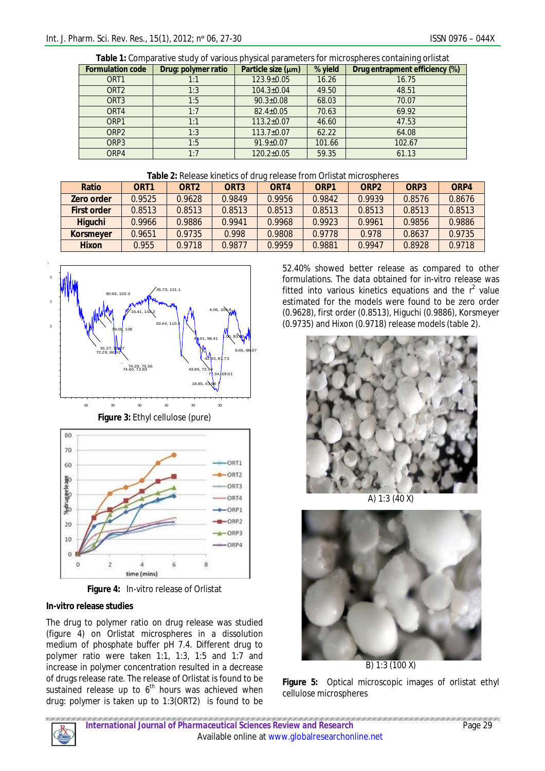| <b>Table 1:</b> Comparative study of various physical parameters for microspheres containing orlistat |                     |                    |         |                                |  |  |  |
|-------------------------------------------------------------------------------------------------------|---------------------|--------------------|---------|--------------------------------|--|--|--|
| <b>Formulation code</b>                                                                               | Drug: polymer ratio | Particle size (µm) | % yield | Drug entrapment efficiency (%) |  |  |  |
| ORT <sub>1</sub>                                                                                      | 1:1                 | $123.9 \pm 0.05$   | 16.26   | 16.75                          |  |  |  |
| ORT <sub>2</sub>                                                                                      | 1:3                 | $104.3 \pm 0.04$   | 49.50   | 48.51                          |  |  |  |
| ORT <sub>3</sub>                                                                                      | 1:5                 | $90.3 \pm 0.08$    | 68.03   | 70.07                          |  |  |  |
| ORT4                                                                                                  | 1:7                 | $82.4 \pm 0.05$    | 70.63   | 69.92                          |  |  |  |
| ORP1                                                                                                  | 1:1                 | $113.2 \pm 0.07$   | 46.60   | 47.53                          |  |  |  |
| ORP <sub>2</sub>                                                                                      | 1:3                 | $113.7 \pm 0.07$   | 62.22   | 64.08                          |  |  |  |
| ORP3                                                                                                  | 1:5                 | $91.9 \pm 0.07$    | 101.66  | 102.67                         |  |  |  |
| ORP4                                                                                                  | 1:7                 | $120.2 \pm 0.05$   | 59.35   | 61.13                          |  |  |  |

**Table 1:** Comparative study of various physical parameters for microspheres containing orlistat

|  | <b>Table 2:</b> Release kinetics of drug release from Orlistat microspheres |  |  |  |
|--|-----------------------------------------------------------------------------|--|--|--|
|  |                                                                             |  |  |  |

| <b>Ratio</b>       | ORT <sub>1</sub> | ORT <sub>2</sub> | ORT <sub>3</sub> | ORT4   | ORP <sub>1</sub> | ORP <sub>2</sub> | ORP <sub>3</sub> | ORP4   |
|--------------------|------------------|------------------|------------------|--------|------------------|------------------|------------------|--------|
| Zero order         | 0.9525           | 0.9628           | 0.9849           | 0.9956 | 0.9842           | 0.9939           | 0.8576           | 0.8676 |
| <b>First order</b> | 0.8513           | 0.8513           | 0.8513           | 0.8513 | 0.8513           | 0.8513           | 0.8513           | 0.8513 |
| <b>Higuchi</b>     | 0.9966           | 0.9886           | 0.9941           | 0.9968 | 0.9923           | 0.9961           | 0.9856           | 0.9886 |
| <b>Korsmeyer</b>   | 0.9651           | 0.9735           | 0.998            | 0.9808 | 0.9778           | 0.978            | 0.8637           | 0.9735 |
| <b>Hixon</b>       | 0.955            | 0.9718           | 0.9877           | 0.9959 | 0.9881           | 0.9947           | 0.8928           | 0.9718 |



**Figure 4:** *In-vitro* release of Orlistat

time (mins)

### *In-vitro* **release studies**

 $\overline{ }$ 

 $\Omega$ 

The drug to polymer ratio on drug release was studied (figure 4) on Orlistat microspheres in a dissolution medium of phosphate buffer pH 7.4. Different drug to polymer ratio were taken 1:1, 1:3, 1:5 and 1:7 and increase in polymer concentration resulted in a decrease of drugs release rate. The release of Orlistat is found to be sustained release up to  $6<sup>th</sup>$  hours was achieved when drug: polymer is taken up to 1:3(ORT2) is found to be

52.40% showed better release as compared to other formulations. The data obtained for *in-vitro* release was fitted into various kinetics equations and the  $r^2$  value estimated for the models were found to be zero order (0.9628), first order (0.8513), Higuchi (0.9886), Korsmeyer (0.9735) and Hixon (0.9718) release models (table 2).



A) 1:3 (40 X)



B) 1:3 (100 X)

**Figure 5:** Optical microscopic images of orlistat ethyl cellulose microspheres